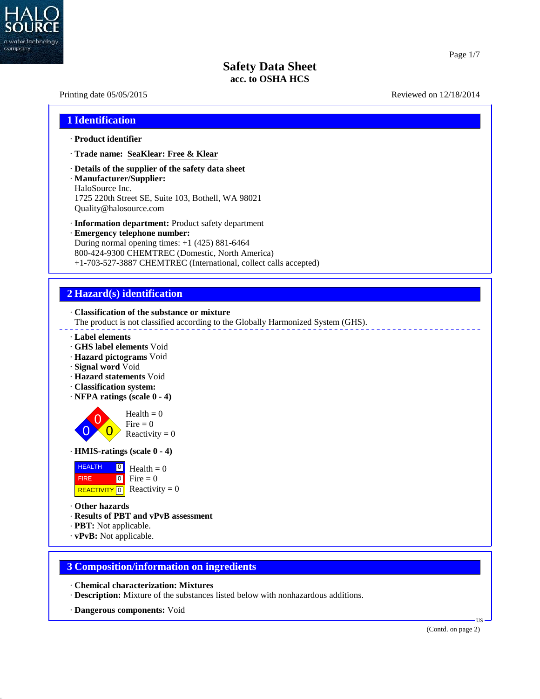

40.2.7

#### Page 1/7

## **Safety Data Sheet acc. to OSHA HCS**

# Printing date 05/05/2015 Reviewed on 12/18/2014 **1 Identification** · **Product identifier** · **Trade name: SeaKlear: Free & Klear** · **Details of the supplier of the safety data sheet** · **Manufacturer/Supplier:** HaloSource Inc. 1725 220th Street SE, Suite 103, Bothell, WA 98021 Quality@halosource.com · **Information department:** Product safety department · **Emergency telephone number:** During normal opening times: +1 (425) 881-6464 800-424-9300 CHEMTREC (Domestic, North America) +1-703-527-3887 CHEMTREC (International, collect calls accepted) **2 Hazard(s) identification** · **Classification of the substance or mixture** The product is not classified according to the Globally Harmonized System (GHS). · **Label elements** · **GHS label elements** Void · **Hazard pictograms** Void · **Signal word** Void · **Hazard statements** Void · **Classification system:** · **NFPA ratings (scale 0 - 4)**  $\overrightarrow{0}$  Reactivity = 0 Fire  $= 0$  $Health = 0$ · **HMIS-ratings (scale 0 - 4)** HEALTH 0 FIRE 0 REACTIVITY  $\boxed{0}$  Reactivity = 0  $\frac{0}{\Box}$  Health = 0  $\bullet$  Fire = 0 · **Other hazards** · **Results of PBT and vPvB assessment** · **PBT:** Not applicable. · **vPvB:** Not applicable. **3 Composition/information on ingredients** · **Chemical characterization: Mixtures** · **Description:** Mixture of the substances listed below with nonhazardous additions. · **Dangerous components:** Void **TIS** (Contd. on page 2)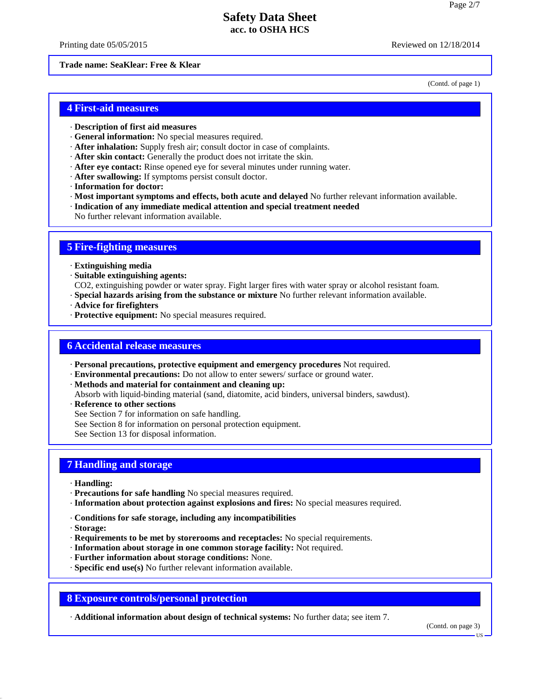Printing date 05/05/2015 **Reviewed on 12/18/2014** 

#### **Trade name: SeaKlear: Free & Klear**

(Contd. of page 1)

### **4 First-aid measures**

- · **Description of first aid measures**
- · **General information:** No special measures required.
- · **After inhalation:** Supply fresh air;consult doctor in case of complaints.
- · **After skin contact:** Generally the product does not irritate the skin.
- · **After eye contact:** Rinse opened eye for several minutes under running water.
- · **After swallowing:** If symptoms persist consult doctor.
- · **Information for doctor:**
- · **Most important symptoms and effects, both acute and delayed** No further relevant information available.
- · **Indication of any immediate medical attention and special treatment needed**
- No further relevant information available.

### **5 Fire-fighting measures**

- · **Extinguishing media**
- · **Suitable extinguishing agents:**
- CO2, extinguishing powder or water spray. Fight larger fires with water spray or alcohol resistant foam.
- · **Special hazards arising from the substance or mixture** No further relevant information available.
- · **Advice for firefighters**
- · **Protective equipment:** No special measures required.

## **6 Accidental release measures**

- · **Personal precautions, protective equipment and emergency procedures** Not required.
- · **Environmental precautions:** Do not allow to enter sewers/ surface or ground water.
- · **Methods and material for containment and cleaning up:**
- Absorb with liquid-binding material (sand, diatomite, acid binders, universal binders, sawdust).
- · **Reference to other sections**
- See Section 7 for information on safe handling.
- See Section 8 for information on personal protection equipment.
- See Section 13 for disposal information.

### **7 Handling and storage**

- · **Handling:**
- · **Precautions for safe handling** No special measures required.
- · **Information about protection against explosions and fires:** No special measures required.
- · **Conditions for safe storage, including any incompatibilities**
- · **Storage:**

40.2.7

- · **Requirements to be met by storerooms and receptacles:** No special requirements.
- · **Information about storage in one common storage facility:** Not required.
- · **Further information about storage conditions:** None.
- · **Specific end use(s)** No further relevant information available.

### **8 Exposure controls/personal protection**

· **Additional information about design of technical systems:** No further data; see item 7.

(Contd. on page 3)

US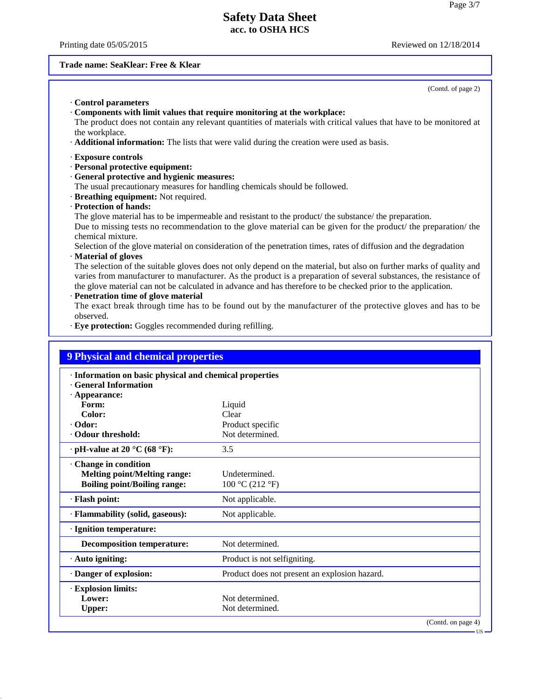Printing date 05/05/2015 **Reviewed on 12/18/2014** 

#### **Trade name: SeaKlear: Free & Klear**

· **Control parameters** · **Components with limit values that require monitoring at the workplace:** The product does not contain any relevant quantities of materials with critical values that have to be monitored at the workplace. · **Additional information:** The lists that were valid during the creation were used as basis. · **Exposure controls** · **Personal protective equipment:** · **General protective and hygienic measures:** The usual precautionary measures for handling chemicals should be followed. · **Breathing equipment:** Not required. · **Protection of hands:** The glove material has to be impermeable and resistant to the product/ the substance/ the preparation. Due to missing tests no recommendation to the glove material can be given for the product/ the preparation/ the chemical mixture. Selection of the glove material on consideration of the penetration times, rates of diffusion and the degradation · **Material of gloves** The selection of the suitable gloves does not only depend on the material, but also on further marks of quality and varies from manufacturer to manufacturer. As the product is a preparation of several substances, the resistance of the glove material can not be calculated in advance and has therefore to be checked prior to the application.

#### · **Penetration time of glove material**

40.2.7

The exact break through time has to be found out by the manufacturer of the protective gloves and has to be observed.

· **Eye protection:** Goggles recommended during refilling.

| · Information on basic physical and chemical properties |                    |
|---------------------------------------------------------|--------------------|
|                                                         |                    |
|                                                         |                    |
| Clear                                                   |                    |
| Product specific                                        |                    |
| Not determined.                                         |                    |
| 3.5                                                     |                    |
| Undetermined.<br>100 °C (212 °F)                        |                    |
| Not applicable.                                         |                    |
| Not applicable.                                         |                    |
|                                                         |                    |
| Not determined.                                         |                    |
| Product is not selfigniting.                            |                    |
| Product does not present an explosion hazard.           |                    |
|                                                         |                    |
| Not determined.                                         |                    |
| Not determined.                                         |                    |
|                                                         | (Contd. on page 4) |
|                                                         | Liquid             |

(Contd. of page 2)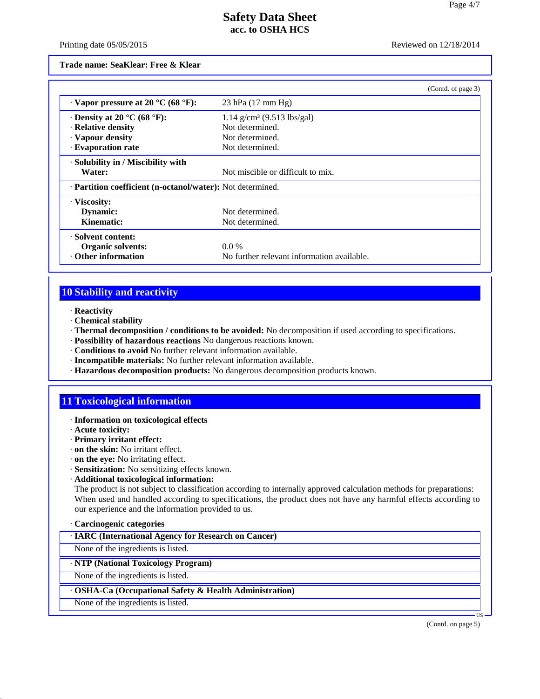Printing date 05/05/2015 Reviewed on 12/18/2014

**Trade name: SeaKlear: Free & Klear**

|                                                            | (Contd. of page 3)                         |  |
|------------------------------------------------------------|--------------------------------------------|--|
| $\cdot$ Vapor pressure at 20 °C (68 °F):                   | $23$ hPa $(17 \text{ mm Hg})$              |  |
| $\cdot$ Density at 20 °C (68 °F):                          | $1.14$ g/cm <sup>3</sup> (9.513 lbs/gal)   |  |
| · Relative density                                         | Not determined.                            |  |
| · Vapour density                                           | Not determined.                            |  |
| · Evaporation rate                                         | Not determined.                            |  |
| · Solubility in / Miscibility with                         |                                            |  |
| Water:                                                     | Not miscible or difficult to mix.          |  |
| . Partition coefficient (n-octanol/water): Not determined. |                                            |  |
| · Viscosity:                                               |                                            |  |
| Dynamic:                                                   | Not determined.                            |  |
| Kinematic:                                                 | Not determined.                            |  |
| · Solvent content:                                         |                                            |  |
| <b>Organic solvents:</b>                                   | $0.0\%$                                    |  |
| ⋅ Other information                                        | No further relevant information available. |  |

## **10 Stability and reactivity**

- · **Reactivity**
- · **Chemical stability**
- · **Thermal decomposition / conditions to be avoided:** No decomposition if used according to specifications.
- · **Possibility of hazardous reactions** No dangerous reactions known.
- · **Conditions to avoid** No further relevant information available.
- · **Incompatible materials:** No further relevant information available.
- · **Hazardous decomposition products:** No dangerous decomposition products known.

## **11 Toxicological information**

- · **Information on toxicological effects**
- · **Acute toxicity:**
- · **Primary irritant effect:**
- · **on the skin:** No irritant effect.
- · **on the eye:** No irritating effect.
- · **Sensitization:** No sensitizing effects known.
- · **Additional toxicological information:**

The product is not subject to classification according to internally approved calculation methods for preparations: When used and handled according to specifications, the product does not have any harmful effects according to our experience and the information provided to us.

### · **Carcinogenic categories**

None of the ingredients is listed.

## · **NTP (National Toxicology Program)**

None of the ingredients is listed.

### · **OSHA-Ca (Occupational Safety & Health Administration)**

None of the ingredients is listed.

40.2.7

(Contd. on page 5)

 $\overline{US}$   $\longrightarrow$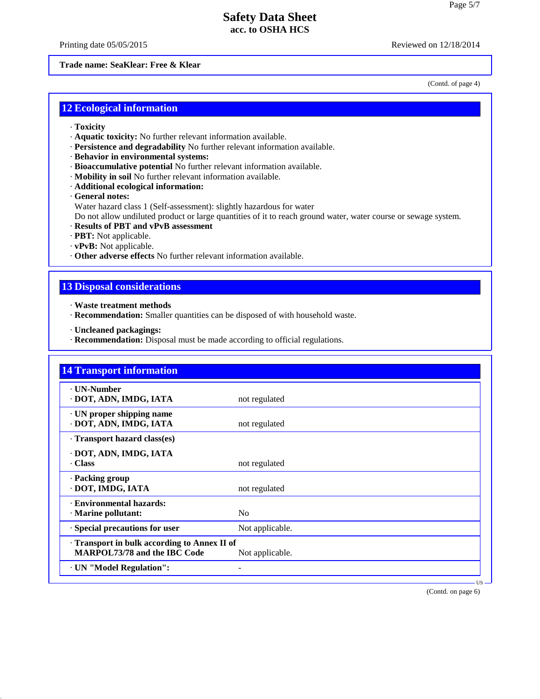Printing date 05/05/2015 Reviewed on 12/18/2014

#### **Trade name: SeaKlear: Free & Klear**

(Contd. of page 4)

## **12 Ecological information**

- · **Toxicity**
- · **Aquatic toxicity:** No further relevant information available.
- · **Persistence and degradability** No further relevant information available.
- · **Behavior in environmental systems:**
- · **Bioaccumulative potential** No further relevant information available.
- · **Mobility in soil** No further relevant information available.
- · **Additional ecological information:**
- · **General notes:**
- Water hazard class 1 (Self-assessment): slightly hazardous for water

Do not allow undiluted product or large quantities of it to reach ground water, water course or sewage system.

- · **Results of PBT and vPvB assessment**
- · **PBT:** Not applicable.
- · **vPvB:** Not applicable.
- · **Other adverse effects** No further relevant information available.

## **13 Disposal considerations**

- · **Waste treatment methods**
- · **Recommendation:** Smaller quantities can be disposed of with household waste.
- · **Uncleaned packagings:**

40.2.7

· **Recommendation:** Disposal must be made according to official regulations.

| <b>14 Transport information</b>                                                   |                 |
|-----------------------------------------------------------------------------------|-----------------|
| <b>· UN-Number</b><br>· DOT, ADN, IMDG, IATA                                      | not regulated   |
| $\cdot$ UN proper shipping name<br>· DOT, ADN, IMDG, IATA                         | not regulated   |
| Transport hazard class(es)                                                        |                 |
| DOT, ADN, IMDG, IATA<br>Class                                                     | not regulated   |
| · Packing group<br>· DOT, IMDG, IATA                                              | not regulated   |
| <b>Environmental hazards:</b><br>$\cdot$ Marine pollutant:                        | N <sub>0</sub>  |
| · Special precautions for user                                                    | Not applicable. |
| Transport in bulk according to Annex II of<br><b>MARPOL73/78 and the IBC Code</b> | Not applicable. |
| · UN "Model Regulation":                                                          |                 |

(Contd. on page 6)

 $\overline{US}$   $\longrightarrow$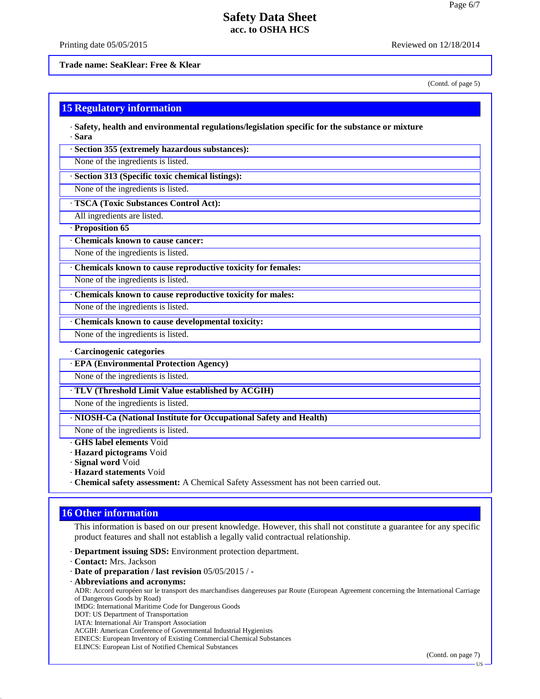Printing date 05/05/2015 **Reviewed on 12/18/2014** 

**Trade name: SeaKlear: Free & Klear**

(Contd. of page 5)

|  |  | <b>15 Regulatory information</b> |  |
|--|--|----------------------------------|--|
|  |  |                                  |  |
|  |  |                                  |  |

· **Safety, health and environmental regulations/legislation specific for the substance or mixture** · **Sara**

· **Section 355 (extremely hazardous substances):**

None of the ingredients is listed.

· **Section 313 (Specific toxic chemical listings):**

None of the ingredients is listed.

· **TSCA (Toxic Substances Control Act):**

All ingredients are listed.

· **Proposition 65**

· **Chemicals known to cause cancer:**

None of the ingredients is listed.

· **Chemicals known to cause reproductive toxicity for females:**

None of the ingredients is listed.

· **Chemicals known to cause reproductive toxicity for males:**

None of the ingredients is listed.

· **Chemicals known to cause developmental toxicity:**

None of the ingredients is listed.

#### · **Carcinogenic categories**

· **EPA (Environmental Protection Agency)**

None of the ingredients is listed.

· **TLV (Threshold Limit Value established by ACGIH)**

None of the ingredients is listed.

· **NIOSH-Ca (National Institute for Occupational Safety and Health)**

None of the ingredients is listed.

· **GHS label elements** Void

· **Hazard pictograms** Void

· **Signal word** Void

· **Hazard statements** Void

· **Chemical safety assessment:** A Chemical Safety Assessment has not been carried out.

## **16 Other information**

This information is based on our present knowledge. However, this shall not constitute a guarantee for any specific product features and shall not establish a legally valid contractual relationship.

· **Department issuing SDS:** Environment protection department.

· **Contact:** Mrs. Jackson

40.2.7

- · **Date of preparation / last revision** 05/05/2015 / -
- · **Abbreviations and acronyms:**

ADR: Accord européen sur le transport des marchandises dangereuses par Route (European Agreement concerning the International Carriage of Dangerous Goods by Road)

IMDG: International Maritime Code for Dangerous Goods

DOT: US Department of Transportation

IATA: International Air Transport Association

ACGIH: American Conference of Governmental Industrial Hygienists

EINECS: European Inventory of Existing Commercial Chemical Substances

ELINCS: European List of Notified Chemical Substances